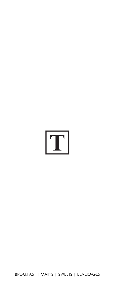

[BREAKFAST](#page-1-0) | [MAINS](#page-1-0) | [SWEETS](#page-3-0) | [BEVERAGES](#page-3-0)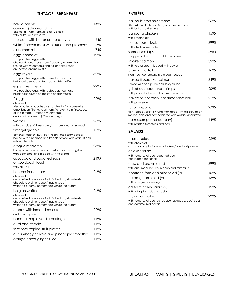#### **TINTAGEL BREAKFAST**

<span id="page-1-0"></span>

| bread basket                                                                                                                                                                                               | 1495 |
|------------------------------------------------------------------------------------------------------------------------------------------------------------------------------------------------------------|------|
| croissant (1) cinnamon roll (1)<br>choice of white / brown toast (2 slices)<br>with butter and preserves                                                                                                   |      |
| croissant with butter and preserves                                                                                                                                                                        | 645  |
| white / brown toast with butter and preserves                                                                                                                                                              | 495  |
| cinnamon roll                                                                                                                                                                                              | 745  |
| eggs benedict                                                                                                                                                                                              | 1995 |
| two poached eggs with<br>choice of honey roast ham / bacon / chicken ham<br>served with mushrooms and hollandaise sauce<br>on toasted english muffin                                                       |      |
| eggs royale                                                                                                                                                                                                | 3295 |
| two poached eggs with smoked salmon and<br>hollandaise sauce on toasted english muffin                                                                                                                     |      |
| eggs florentine (v)                                                                                                                                                                                        | 2295 |
| two poached eggs with sautéed spinach and<br>hollandaise sauce on toasted english muffin                                                                                                                   |      |
| 2 eggs                                                                                                                                                                                                     | 2295 |
| choice of<br>fried / boiled / poached / scrambled / fluffy omelette<br>crispy bacon / honey roast ham / chicken ham / sausages<br>grilled tomato / sautéed mushrooms<br>add smoked salmon (3995 surcharge) |      |
| waffles                                                                                                                                                                                                    | 2695 |
| with a choice of beef curry / fish curry and pol sambol                                                                                                                                                    |      |
| tintagel granola                                                                                                                                                                                           | 1595 |
| almonds, cashew nuts, oats, raisins and sesame seeds<br>baked with cinnamon and treacle served with yoghurt and<br>milk on the side                                                                        |      |
| croque madame                                                                                                                                                                                              | 2595 |
| honey roast ham, cheddar, mustard, sandwich grilled<br>with bechamel and topped with fried egg                                                                                                             |      |
| avocado and poached eggs<br>on sourdough toast                                                                                                                                                             | 2195 |
| with chilli oil                                                                                                                                                                                            |      |
| brioche french toast<br>choice of                                                                                                                                                                          | 2495 |
| caramelized bananas / fresh fruit salad / strawberries<br>chocolate praline sauce / maple syrup<br>whipped cream / homemade vanilla ice cream                                                              |      |
| belgian waffles                                                                                                                                                                                            | 2495 |
| choice of<br>caramelized bananas / fresh fruit salad / strawberries<br>chocolate praline sauce / maple syrup<br>whipped cream / homemade vanilla ice cream                                                 |      |
| crepes with lemon lime curd                                                                                                                                                                                | 2295 |
| and mascarpone                                                                                                                                                                                             |      |
| banana maple vanilla porridge                                                                                                                                                                              | 1195 |
| curd and treacle                                                                                                                                                                                           | 1195 |
| seasonal tropical fruit platter                                                                                                                                                                            | 1195 |
| cucumber, gotukola and pineapple smoothie                                                                                                                                                                  | 1195 |
| orange carrot ginger juice                                                                                                                                                                                 | 1195 |

# **ENTRÉES**

| baked button mushrooms                                                                                               | 2695  |
|----------------------------------------------------------------------------------------------------------------------|-------|
| filled with walnuts and feta, wrapped in bacon<br>with balsamic dressing                                             |       |
| pandang chicken                                                                                                      | 1595  |
| with sesame dip                                                                                                      |       |
| honey roast duck                                                                                                     | 3995  |
| with chicken liver pâté                                                                                              |       |
| seared scallops                                                                                                      | 49.50 |
| wrapped in bacon on cauliflower purée                                                                                |       |
| smoked salmon                                                                                                        | 3995  |
| with vodka cream topped with caviar                                                                                  |       |
| prawn cocktail                                                                                                       | 1695  |
| steamed tiger prawns in a piquant sauce                                                                              |       |
| baked firecracker salmon                                                                                             | 3495  |
| served with pea puree and spicy sauce                                                                                |       |
| grilled avocado and shrimps                                                                                          | 2095  |
| with parsley butter and balsamic reduction                                                                           |       |
| baked tart of crab, coriander and chilli                                                                             | 2195  |
| with parmesan                                                                                                        |       |
| tuna carpaccio                                                                                                       | 2795  |
| thinly sliced yellow fin tuna marinated with dill, served on<br>rocket salad and pomegranate with wasabi vinaigrette |       |
| parmesan panna cotta (v)                                                                                             | 1495  |
| with roasted tomatoes and basil                                                                                      |       |

#### **SALADS**

| caesar salad                                                                     | 2295 |
|----------------------------------------------------------------------------------|------|
| with choice of<br>crispy bacon / thai spiced chicken / tandoori prawns           |      |
| chicken salad                                                                    | 1995 |
| with tomato, lettuce, poached egg<br>and bacon (optional)                        |      |
| crab and prawn salad                                                             | 3995 |
| with cucumber, lettuce, mango and mint salsa                                     |      |
| beetroot, feta and mint salad $(v)$                                              | 1095 |
| mixed green salad (v)                                                            | 1395 |
| with vinaigrette dressing                                                        |      |
| grilled zucchini salad (v)                                                       | 1295 |
| with feta, pine nuts and raisins                                                 |      |
| mushroom salad                                                                   | 2395 |
| with tomato, lettuce, bell pepper, avocado, quail eggs<br>and caramelized pecans |      |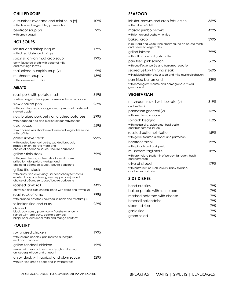## **CHILLED SOUP**

| cucumber, avocado and mint soup (v)    | 1095 |
|----------------------------------------|------|
| with choice of vegetable / prawn salsa |      |
| beetroot soup $(v)$                    | 99.5 |
| with greek yogurt                      |      |

## **HOT SOUPS**

| lobster and shrimp bisque<br>with diced lobster and shrimps                                                                                                    | 1795 |
|----------------------------------------------------------------------------------------------------------------------------------------------------------------|------|
| spicy sri lankan mud crab soup<br>curry flavoured broth with coconut milk<br>and murunga leaves                                                                | 1995 |
| thai spiced pumpkin soup (v)                                                                                                                                   | 995  |
| mushroom soup (v)<br>with camembert crostini                                                                                                                   | 1395 |
| <b>MEATS</b>                                                                                                                                                   |      |
| roast pork with potato mash<br>sautéed vegetables, apple mousse and mustard sauce                                                                              | 3495 |
| slow cooked pork<br>with crackling, red cabbage, creamy mustard mash and<br>stewed apple                                                                       | 2695 |
| slow braised pork belly on crushed potatoes<br>with poached egg and pickled ginger mayonnaise                                                                  | 2995 |
| osso bucco                                                                                                                                                     | 2595 |
| slow cooked veal shank in red wine and vegetable sauce<br>with spätzle                                                                                         |      |
| grilled ribeye steak                                                                                                                                           | 9995 |
| with roasted beetroot purée, sautéed broccoli,<br>roasted onion, potato mash and<br>choice of béarnaise sauce / beurre parisienne                              |      |
| grilled sirloin steak                                                                                                                                          | 7995 |
| with green beans, sautéed shitake mushrooms,<br>grilled tomato, potato wedges and<br>choice of béarnaise sauce / beurre parisienne                             |      |
| grilled fillet steak                                                                                                                                           | 9995 |
| with crispy fried onion rings, sautéed cherry tomatoes,<br>roasted baby potatoes, green peppercorn jus and<br>choice of béarnaise sauce / beurre parisienne    |      |
| roasted lamb roll                                                                                                                                              | 4495 |
| on walnut and blue cheese risotto with garlic and thyme just                                                                                                   |      |
| roast rack of lamb<br>with crushed potatoes, sautéed spinach and mustard jus                                                                                   | 9995 |
| sri lankan rice and curry                                                                                                                                      | 2695 |
| choice of<br>black pork curry / prawn curry / cashew nut curry<br>served with lentil curry, gotukola sambol,<br>brinjal pahi, cucumber raita and mango chutney |      |
| <b>POULTRY</b>                                                                                                                                                 |      |
| cov braised chicken                                                                                                                                            | 1995 |

| soy braised chicken                                                                      |       |
|------------------------------------------------------------------------------------------|-------|
| with sesame noodles, pan roasted aubergine,<br>mint and coriander                        |       |
| grilled tandoori chicken                                                                 | 1995  |
| served with avocado salsa and yoghurt dressing<br>on iceberg lettuce and chapatti        |       |
| crispy duck with apricot and plum sauce<br>with stir-fried green beans and snow potatoes | 629.5 |
|                                                                                          |       |

### **SEAFOOD**

| lobster, prawns and crab fettuccine<br>with a dash of chilli                                  | 3595 |
|-----------------------------------------------------------------------------------------------|------|
| masala jumbo prawns<br>with lemon and cashew nut rice                                         | 4395 |
| baked crab<br>in mustard and white wine cream sauce on potato mash<br>and steamed vegetables  | 3995 |
| grilled lobster<br>with saffron rice and garlic butter                                        | 7995 |
| pan fried pink salmon<br>with cauliflower purée and balsamic reduction                        | 5695 |
| seared yellow fin tuna steak<br>with pickled radish ginger salsa and miso mustard sabayon     | 3695 |
| pan fried barramundi<br>with lemongrass mousse and pomegranate mixed<br>green salad           | 3295 |
| <b>VEGETARIAN</b>                                                                             |      |
| mushroom ravioli with burrata (v)<br>and truffle oil                                          | 3195 |
| parmesan gnocchi (v)<br>with fresh tomato sauce                                               | 1595 |
| spinach lasagna<br>with mozzarella, aubergine, basil pesto<br>and fresh tomato sauce          | 1595 |
| roasted butternut risotto<br>with garlic, toasted almonds and parmesan                        | 1595 |
| beetroot ravioli<br>with spinach and basil pesto                                              | 1995 |
| mushroom tagliatelle<br>with gremolata (herb mix of parsley, tarragon, basil)<br>and parmesan | 1895 |
| olive oil strudel<br>with butternut, brussels sprouts, baby spinach,<br>cranberries and brie  | 1795 |

### **SIDE DISHES**

| hand cut fries               | 795  |
|------------------------------|------|
| baked potato with sour cream | 79.5 |
| mashed potatoes with cheese  | 79.5 |
| broccoli hollandaise         | 79.5 |
| steamed rice                 | 79.5 |
| garlic rice                  | 79.5 |
| green salad                  | 795  |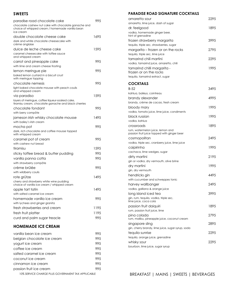### <span id="page-3-0"></span>**SWEETS**

| paradise road chocolate cake<br>chocolate cashew nut cake with chocolate ganache and<br>choice of whipped cream / homemade vanilla bean<br>ice cream | 995  |
|------------------------------------------------------------------------------------------------------------------------------------------------------|------|
| double chocolate cheese cake<br>dark and white chocolate cheesecake with<br>crème anglaise                                                           | 1695 |
| dulce de leche cheese cake<br>caramel cheesecake with toffee sauce<br>and whipped cream                                                              | 1595 |
| carrot and pineapple cake<br>with lime and cream cheese frosting                                                                                     | 995  |
|                                                                                                                                                      |      |
| lemon meringue pie<br>baked lemon custard in a biscuit crust<br>with meringue topping                                                                | 995  |
| chocolate nemesis                                                                                                                                    | 995  |
| light baked chocolate mousse with peach coulis<br>and whipped cream                                                                                  |      |
| via paradiso                                                                                                                                         | 1595 |
| layers of meringue, coffee liqueur-soaked cake,<br>tiramisu cream, chocolate ganache and black cherries                                              |      |
| chocolate fondant                                                                                                                                    | 995  |
| with berry compôte                                                                                                                                   |      |
| jameson irish whisky chocolate mousse                                                                                                                | 1495 |
| with bailey's irish cream                                                                                                                            |      |
| mocha pot                                                                                                                                            | 995  |
| dark, rich chocolate and coffee mousse topped<br>with whipped cream                                                                                  |      |
| caramel pot of cream                                                                                                                                 | 995  |
| with cashew nut bread                                                                                                                                |      |
| tiramisu                                                                                                                                             | 1595 |
| sticky toffee bread & butter pudding                                                                                                                 | 995  |
| vanilla panna cotta                                                                                                                                  | 995  |
| with strawberry compôte                                                                                                                              |      |
| crème brûlée                                                                                                                                         | 995  |
| with wildberry coulis                                                                                                                                |      |
| rote grütze                                                                                                                                          | 1495 |
| cherry and strawberry white wine pudding<br>choice of vanilla ice cream / whipped cream                                                              |      |
| apple tart tatin                                                                                                                                     | 1495 |
| with salted caramel ice cream                                                                                                                        |      |
| homemade vanilla ice cream                                                                                                                           | 995  |
| with lychees and ginger granita                                                                                                                      |      |
| fresh strawberries and cream                                                                                                                         | 1195 |
| fresh fruit platter                                                                                                                                  | 1195 |
| curd and palm sugar treacle                                                                                                                          | 995  |
| <b>HOMEMADE ICE CREAM</b>                                                                                                                            |      |
| vanilla bean ice cream                                                                                                                               | 995  |
| belgian chocolate ice cream                                                                                                                          | 995  |
| yogurt ice cream                                                                                                                                     | 995  |
| coffee ice cream                                                                                                                                     | 995  |
| salted caramel ice cream                                                                                                                             | 995  |
| coconut ice cream                                                                                                                                    | 995  |
|                                                                                                                                                      |      |

passion fruit ice cream and the settlement of the 1995

cinnamon ice cream 995

**PARADISE ROAD SIGNATURE COCKTAILS**

| amaretto sour<br>amaretto, lime juice, dash of sugar                            | 2295 |
|---------------------------------------------------------------------------------|------|
| dr. feelgood                                                                    | 1895 |
| vodka, homemade ginger beer,                                                    |      |
| hint of grenadine                                                               |      |
| frozen strawberry margarita                                                     | 3995 |
| tequila, triple sec, strawberries, sugar                                        |      |
| margarita – frozen or on the rocks                                              | 2795 |
| tequila, triple sec, lime juice                                                 |      |
| tamarind chili martini                                                          | 2295 |
| vodka, tamarind juice, amaretto, chili                                          |      |
| tamarind chilli margarita -                                                     | 1995 |
| frozen or on the rocks                                                          |      |
| tequila, tamarind extract, sugar                                                |      |
| <b>COCKTAILS</b>                                                                |      |
| $B-52$                                                                          | 3495 |
| kahlua, baileys, cointreau                                                      |      |
| brandy alexander                                                                | 4995 |
| brandy, crème de cacao, fresh cream                                             |      |
| bloody mary                                                                     | 1995 |
| vodka, tomato juice, lime juice, condiments                                     |      |
| black russian                                                                   | 1995 |
| vodka, kahlua                                                                   |      |
| crossroads                                                                      | 1895 |
| rum, watermelon juice, lemon and<br>passion fruit juice topped with ginger beer |      |
| cosmopolitan                                                                    | 2495 |
| vodka, triple sec, cranberry juice, lime juice                                  |      |
| caipirinha                                                                      | 1995 |
| cachaca, lime wedges, sugar                                                     |      |
| dirty martini                                                                   | 2195 |
| gin or vodka, dry vermouth, olive brine                                         |      |
| dry martini                                                                     | 1995 |
| gin, dry vermouth                                                               |      |
| hendricks gin                                                                   | 4495 |
| with cucumber and schweppes tonic                                               |      |
| harvey wallbanger                                                               | 2495 |
| vodka, galliano & orange juice                                                  |      |
| long island iced tea                                                            | 3995 |
| gin, rum, tequila, vodka, triple sec,<br>lime juice, coca cola                  |      |
| passion fruit daiquiri                                                          | 1895 |
| rum, passion fruit juice, lime                                                  |      |
| pina colada<br>rum, malibu, pineapple juice, coconut cream                      | 2795 |
| singapore sling                                                                 | 2895 |
| gin, cherry brandy, lime juice, sugar syrup, soda                               |      |
| tequila sunrise                                                                 | 2295 |
| tequila, orange juice, grenadine                                                |      |
| whisky sour                                                                     | 2295 |
| bourbon, lime juice, sugar syrup                                                |      |

10% SERVICE CHARGE PLUS GOVERNMENT TAX APPLICABLE [BREAKFAST](#page-1-0) | [MAINS](#page-1-0) | SWEETS | BEVERAGES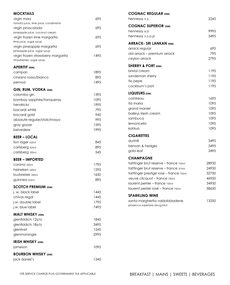| <b>MOCKTAILS</b>                                    |      | <b>COGNAC REGULAR 25ML</b>              |             |
|-----------------------------------------------------|------|-----------------------------------------|-------------|
| virgin mary                                         | 695  | hennessy v.s.                           | 2245        |
| tomato juice, lime juice, condiments                |      | <b>COGNAC SUPERIOR 25ML</b>             |             |
| virgin pinacolada<br>pineapple juice, coconut cream | 695  | hennessy x.o                            | 9995        |
| virgin frozen lime margarita                        | 695  | hennessy v.s.o.p                        | 3495        |
| lime juice, sugar syrup                             |      |                                         |             |
| virgin pineapple margarita                          | 695  | <b>ARRACK- SRI LANKAN 50ML</b>          |             |
| pineapple juice, sugar syrup                        |      | arrack regular                          | 695         |
| virgin frozen strawberry margarita                  | 1495 | old arrack - premium arrack             | 795<br>2795 |
| strawberries, sugar syrup                           |      | ceylon arrack                           |             |
| <b>APERITIF 50ML</b>                                |      | <b>SHERRY &amp; PORT 50ML</b>           |             |
| campari                                             | 1895 | bristol cream                           | 1195        |
| cinzano rosso/bianco                                | 895  | sandeman sherry                         | 1195        |
| pernod                                              | 1495 | tio pepe                                | 1195        |
| GIN, RUM, VODKA 25ML                                |      | cockburn's port                         | 1195        |
| colombo gin                                         | 1395 | LIQUEURS 25ML                           |             |
| bombay sapphire/tanqueray                           | 1095 | cointreau                               | 1695        |
| hendricks                                           | 1995 | tia maria                               | 1095        |
| bacardi white                                       | 795  | grand manier                            | 1095        |
| bacardi gold                                        | 945  | baileys iriesh cream                    | 1095        |
| absolute regular/stolichnaya                        | 995  | sambuca                                 | 1095        |
| gray goose                                          | 1595 | lemoncello                              | 1095        |
| belvedere                                           | 1995 | kahlua                                  | 1095        |
|                                                     |      | <b>CIGARETTES</b>                       |             |
| <b>BEER-LOCAL</b>                                   |      | dunhill                                 | 3495        |
| lion lager 625ml                                    | 845  | benson & hedges                         | 3495        |
| carlsberg 625ml                                     | 895  | gold leaf                               | 3495        |
| carlsberg 330ml                                     | 545  |                                         |             |
| <b>BEER - IMPORTED</b>                              |      | <b>CHAMPAGNE</b>                        |             |
| COrona 330ml                                        | 1795 | taittinger brut reserve - france 750ml  | 28950       |
| heineken 330ml                                      | 1295 | taittinger brut reserve - france 375ml  | 24950       |
| budweiser 330ml                                     | 1650 | taittinger prestige rose - france 750ml | 32750       |
| guinness 325ml                                      | 895  | veuve clicquot - france 750ml           | 46950       |
| <b>SCOTCH PREMIUM 25ML</b>                          |      | laurent perrier - france 750ml          | 34950       |
| j. w. black label                                   | 1445 | laurent perrier rosé - france 750ml     | 58650       |
| chivas regal                                        | 1445 | <b>SPARKLING WINE</b>                   |             |
| j.w. double label                                   | 1795 | santa margherita valdobbiadene          | 13250       |
| j.w. blue label                                     | 7495 | prosecco superiore docg brut            |             |
|                                                     |      |                                         |             |
| <b>MALT WHISKY 25ML</b>                             |      |                                         |             |
| glenfiddich 12y/o                                   | 1845 |                                         |             |
| glenfiddich 18y/o                                   | 3495 |                                         |             |
| glenlivet                                           | 1545 |                                         |             |
| glenmorangie                                        | 2995 |                                         |             |
| <b>IRISH WHISKY 25ML</b>                            |      |                                         |             |
| jameson                                             | 1095 |                                         |             |
| <b>BOURBON WHISKY 25ML</b>                          |      |                                         |             |
| jack daniel's                                       | 1345 |                                         |             |
|                                                     |      |                                         |             |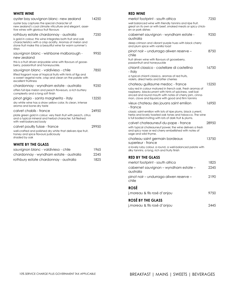#### **WHITE WINE**

| oyster bay sauvignon blanc-new zealand<br>oyster bay captures the special character of<br>new zealand's cool climate viticulture and elegant, asser-<br>tive wines with glorious fruit flavours                                       | 14250 |
|---------------------------------------------------------------------------------------------------------------------------------------------------------------------------------------------------------------------------------------|-------|
| rothbury estate chardonnay - australia<br>is gold in colour, this wine integrates both fruit and oak<br>characteristics with a crisp acidity. Aromas of melon and<br>stone fruit make this a beautiful wine for warm summer's<br>days | 7250  |
| sauvignon blanc - wishbone malborough -<br>new zealand<br>this is a fruit driven enjoyable wine with flavours of goose-<br>berry, passionfruit and honeysuckle.                                                                       | 9950  |
| sauvignon blanc - valdivieso - chile<br>lifted fragrant nose of tropical fruits with hints of figs and<br>a sweet vegetal note, crisp and clean on the palate with<br>excellent fruitiness                                            | 7850  |
| chardonnay - wyndham estate - australia<br>offers full ripe melon and peach floveours, a rich buttery<br>complexity and a long soft finish                                                                                            | 9250  |
| pinot grigio - santa margherita - italy<br>dry white wine has a straw yellow color, its clean, intense<br>aroma and bone-dry taste                                                                                                    | 13250 |
| calvet chablis - france<br>plate green gold in colour, very fresh fruit with peach, citrus<br>and a typical mineral and herbal character, full fleshed<br>with well-balanced body                                                     | 24950 |
| calvet pouilly fuisse - france<br>well-crafted and polished dry white that delivers ripe fruit,<br>honey and spice flavours judiciously<br>shaded by oak                                                                              | 29950 |
| <b>WHITE BY THE GLASS</b>                                                                                                                                                                                                             |       |

| sauvignon blanc - valdivieso - chile    | 1965 |
|-----------------------------------------|------|
| chardonnay - wyndham estate - australia | 2245 |
| rothbury estate chardonnay - australia  | 1825 |

#### **RED WINE**

| merlot footprint - south africa                                                                                                                                                                                                          | 7250  |
|------------------------------------------------------------------------------------------------------------------------------------------------------------------------------------------------------------------------------------------|-------|
| well balanced wine with friendly tannins and ripe fruit.<br>great on its own or with beef, smoked meats or spicy chick-<br>en or pork dishes                                                                                             |       |
| cabernet sauvignon - wyndham estate -<br>australia                                                                                                                                                                                       | 9250  |
| deep crimson and vibrant purple hues with black cherry<br>and plum spice with vanilla toast                                                                                                                                              |       |
| pinot noir - undurraga aliwen reserve -<br>chile                                                                                                                                                                                         | 8750  |
| fruit driven wine with flavours of gooseberry,<br>passionfruit and honeysuckle                                                                                                                                                           |       |
| chianti classico - castellare di castellina<br>- italy                                                                                                                                                                                   | 16750 |
| a typical chianti classico, aromas of red fruits,<br>violets, dried herbs and bitter cherries                                                                                                                                            |       |
| chateau guillaume medoc - france                                                                                                                                                                                                         | 15250 |
| ruby red in colour matured in french oak. Fresh aromas of<br>raspberry, blackcurrant with hints of spiciness, well bal-<br>anced and round mouth with notes of cherry jam, cinna-<br>mon, clove and liquorice with good and firm tannins |       |
| vieux chateau des jouans saint emilion<br>- france                                                                                                                                                                                       | 16950 |
| classic saint-emilion with lots of ripe plums, black current,<br>herbs and lovely toasted oak tones and tobacco. The wine<br>is full bodied inviting with lots of dark fruit & plums.                                                    |       |
| calvet chateauneuf-du-pape - france                                                                                                                                                                                                      | 28950 |
| with typical chateauneuf power, the wine delivers a fresh<br>and spicy nose or red cherry embellished with notes of<br>sage and wild thyme.                                                                                              |       |
| chateau saint germain bordeaux                                                                                                                                                                                                           | 13750 |
| superieur - france                                                                                                                                                                                                                       |       |
| a lovely ruby colour, a round, a well-balanced palate with<br>silky tannins. a long, rich and fruity finish                                                                                                                              |       |
| <b>RED BY THE GLASS</b>                                                                                                                                                                                                                  |       |
| merlot footprint - south africa                                                                                                                                                                                                          | 1825  |
| cabernet sauvignon - wyndham estate -<br>australia                                                                                                                                                                                       | 2245  |
| pinot noir - undurraga aliwen reserve -<br>chile                                                                                                                                                                                         | 2190  |
|                                                                                                                                                                                                                                          |       |

## **ROSÉ**

| <b>ROSÉ BY THE GLASS</b>      |      |
|-------------------------------|------|
| j. moreau & fils rosé d'anjou | 9750 |

| j. moreau & fils rosé d'anjou | 2445 |
|-------------------------------|------|